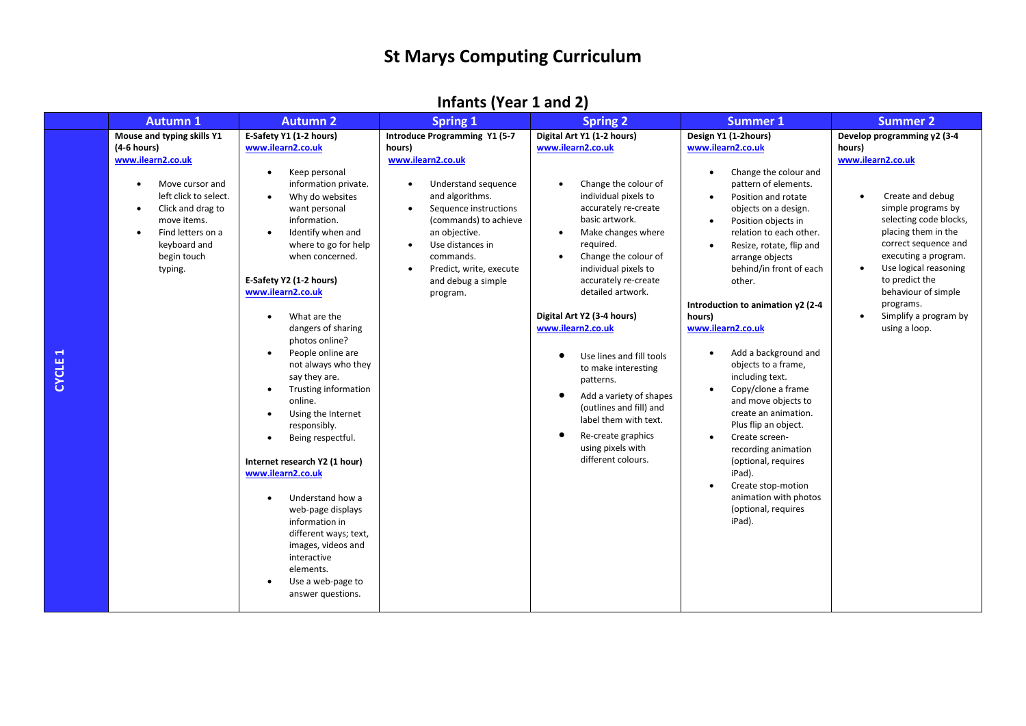## **St Marys Computing Curriculum**

## **Infants (Year 1 and 2)**

| Mouse and typing skills Y1<br>E-Safety Y1 (1-2 hours)<br>Digital Art Y1 (1-2 hours)<br>Design Y1 (1-2hours)<br>Introduce Programming Y1 (5-7<br>Develop programming y2 (3-4<br>$(4-6$ hours)<br>www.ilearn2.co.uk<br>www.ilearn2.co.uk<br>www.ilearn2.co.uk<br>hours)<br>hours)<br>www.ilearn2.co.uk<br>www.ilearn2.co.uk<br>www.ilearn2.co.uk<br>Keep personal<br>Change the colour and<br>$\bullet$<br>$\bullet$<br>Change the colour of<br>information private.<br>Understand sequence<br>pattern of elements.<br>Move cursor and<br>٠<br>left click to select.<br>and algorithms.<br>individual pixels to<br>Create and debug<br>Why do websites<br>Position and rotate<br>$\bullet$<br>$\bullet$<br>accurately re-create<br>simple programs by<br>Click and drag to<br>want personal<br>Sequence instructions<br>objects on a design.<br>$\bullet$<br>٠<br>basic artwork.<br>selecting code blocks,<br>move items.<br>information.<br>(commands) to achieve<br>Position objects in<br>$\bullet$<br>Make changes where<br>placing them in the<br>Find letters on a<br>Identify when and<br>an objective.<br>relation to each other.<br>$\bullet$<br>$\bullet$<br>required.<br>correct sequence and<br>keyboard and<br>where to go for help<br>Use distances in<br>Resize, rotate, flip and<br>$\bullet$<br>$\bullet$<br>executing a program.<br>begin touch<br>when concerned.<br>commands.<br>Change the colour of<br>arrange objects<br>$\bullet$<br>Use logical reasoning<br>individual pixels to<br>behind/in front of each<br>typing.<br>Predict, write, execute<br>$\bullet$<br>$\bullet$<br>E-Safety Y2 (1-2 hours)<br>accurately re-create<br>to predict the<br>and debug a simple<br>other.<br>behaviour of simple<br>www.ilearn2.co.uk<br>detailed artwork.<br>program.<br>Introduction to animation y2 (2-4<br>programs.<br>Digital Art Y2 (3-4 hours)<br>Simplify a program by<br>What are the<br>hours)<br>$\bullet$<br>www.ilearn2.co.uk<br>www.ilearn2.co.uk<br>using a loop.<br>dangers of sharing<br>photos online?<br>Add a background and<br>People online are<br>$\bullet$<br>$\bullet$<br>Use lines and fill tools<br>٠<br>not always who they<br>objects to a frame,<br>to make interesting<br>say they are.<br>including text.<br>patterns.<br><b>Trusting information</b><br>Copy/clone a frame<br>$\bullet$<br>$\bullet$<br>Add a variety of shapes<br>٠<br>online.<br>and move objects to<br>(outlines and fill) and<br>create an animation.<br>Using the Internet<br>$\bullet$<br>label them with text.<br>Plus flip an object.<br>responsibly.<br>Re-create graphics<br>٠<br>Create screen-<br>Being respectful.<br>$\bullet$<br>$\bullet$<br>using pixels with<br>recording animation<br>different colours.<br>Internet research Y2 (1 hour)<br>(optional, requires<br>iPad).<br>www.ilearn2.co.uk<br>Create stop-motion<br>$\bullet$<br>animation with photos<br>Understand how a<br>$\bullet$<br>(optional, requires<br>web-page displays<br>iPad).<br>information in<br>different ways; text,<br>images, videos and<br>interactive<br>elements.<br>Use a web-page to<br>$\bullet$<br>answer questions. | Spring <sub>1</sub><br><b>Spring 2</b><br><b>Autumn 1</b><br><b>Autumn 2</b><br><b>Summer 1</b><br><b>Summer 2</b> |  |
|--------------------------------------------------------------------------------------------------------------------------------------------------------------------------------------------------------------------------------------------------------------------------------------------------------------------------------------------------------------------------------------------------------------------------------------------------------------------------------------------------------------------------------------------------------------------------------------------------------------------------------------------------------------------------------------------------------------------------------------------------------------------------------------------------------------------------------------------------------------------------------------------------------------------------------------------------------------------------------------------------------------------------------------------------------------------------------------------------------------------------------------------------------------------------------------------------------------------------------------------------------------------------------------------------------------------------------------------------------------------------------------------------------------------------------------------------------------------------------------------------------------------------------------------------------------------------------------------------------------------------------------------------------------------------------------------------------------------------------------------------------------------------------------------------------------------------------------------------------------------------------------------------------------------------------------------------------------------------------------------------------------------------------------------------------------------------------------------------------------------------------------------------------------------------------------------------------------------------------------------------------------------------------------------------------------------------------------------------------------------------------------------------------------------------------------------------------------------------------------------------------------------------------------------------------------------------------------------------------------------------------------------------------------------------------------------------------------------------------------------------------------------------------------------------------------------------------------------------------------------------------------------------------------------------------------------------------------------------------------------------------------------------------------------------------------------------------------------------------------------------------------------|--------------------------------------------------------------------------------------------------------------------|--|
|                                                                                                                                                                                                                                                                                                                                                                                                                                                                                                                                                                                                                                                                                                                                                                                                                                                                                                                                                                                                                                                                                                                                                                                                                                                                                                                                                                                                                                                                                                                                                                                                                                                                                                                                                                                                                                                                                                                                                                                                                                                                                                                                                                                                                                                                                                                                                                                                                                                                                                                                                                                                                                                                                                                                                                                                                                                                                                                                                                                                                                                                                                                                            |                                                                                                                    |  |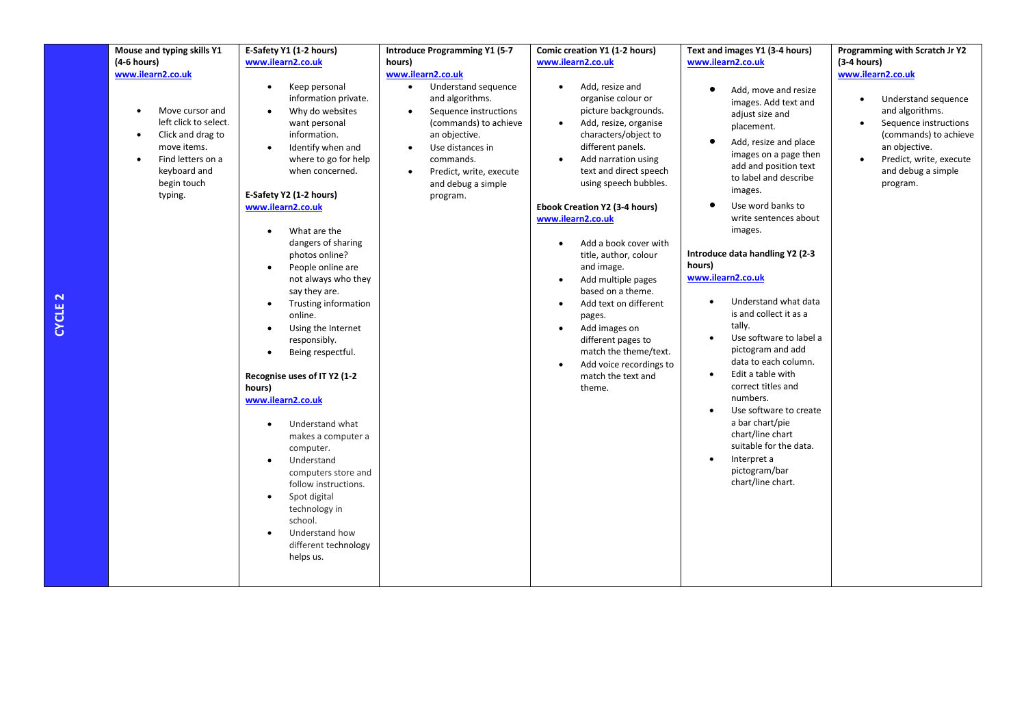| Mouse and typing skills Y1                                                                                                                                       | E-Safety Y1 (1-2 hours)                                                                                                                                                                                                                                                                                                                                                                                                                                                                                                                                                                                                                                                                                                                                                                 | <b>Introduce Programming Y1 (5-7</b>                                                                                                                                                                                                                                             | Comic creation Y1 (1-2 hours)                                                                                                                                                                                                                                                                                                                                                                                                                                                                                                                                                                                                                               | Text and images Y1 (3-4 hours)                                                                                                                                                                                                                                                                                                                                                                                                                                                                                                                                                                                                                                                               | Programming with Scratch Jr Y2                                                                                                                                                                           |
|------------------------------------------------------------------------------------------------------------------------------------------------------------------|-----------------------------------------------------------------------------------------------------------------------------------------------------------------------------------------------------------------------------------------------------------------------------------------------------------------------------------------------------------------------------------------------------------------------------------------------------------------------------------------------------------------------------------------------------------------------------------------------------------------------------------------------------------------------------------------------------------------------------------------------------------------------------------------|----------------------------------------------------------------------------------------------------------------------------------------------------------------------------------------------------------------------------------------------------------------------------------|-------------------------------------------------------------------------------------------------------------------------------------------------------------------------------------------------------------------------------------------------------------------------------------------------------------------------------------------------------------------------------------------------------------------------------------------------------------------------------------------------------------------------------------------------------------------------------------------------------------------------------------------------------------|----------------------------------------------------------------------------------------------------------------------------------------------------------------------------------------------------------------------------------------------------------------------------------------------------------------------------------------------------------------------------------------------------------------------------------------------------------------------------------------------------------------------------------------------------------------------------------------------------------------------------------------------------------------------------------------------|----------------------------------------------------------------------------------------------------------------------------------------------------------------------------------------------------------|
| $(4-6$ hours)                                                                                                                                                    | www.ilearn2.co.uk                                                                                                                                                                                                                                                                                                                                                                                                                                                                                                                                                                                                                                                                                                                                                                       | hours)                                                                                                                                                                                                                                                                           | www.ilearn2.co.uk                                                                                                                                                                                                                                                                                                                                                                                                                                                                                                                                                                                                                                           | www.ilearn2.co.uk                                                                                                                                                                                                                                                                                                                                                                                                                                                                                                                                                                                                                                                                            | $(3-4 hours)$                                                                                                                                                                                            |
| www.ilearn2.co.uk<br>Move cursor and<br>left click to select.<br>Click and drag to<br>move items.<br>Find letters on a<br>keyboard and<br>begin touch<br>typing. | Keep personal<br>$\bullet$<br>information private.<br>Why do websites<br>want personal<br>information.<br>Identify when and<br>$\bullet$<br>where to go for help<br>when concerned.<br>E-Safety Y2 (1-2 hours)<br>www.ilearn2.co.uk<br>What are the<br>dangers of sharing<br>photos online?<br>People online are<br>not always who they<br>say they are.<br>Trusting information<br>online.<br>Using the Internet<br>٠<br>responsibly.<br>Being respectful.<br>Recognise uses of IT Y2 (1-2<br>hours)<br>www.ilearn2.co.uk<br>Understand what<br>$\bullet$<br>makes a computer a<br>computer.<br>Understand<br>$\bullet$<br>computers store and<br>follow instructions.<br>Spot digital<br>$\bullet$<br>technology in<br>school.<br>Understand how<br>different technology<br>helps us. | www.ilearn2.co.uk<br>Understand sequence<br>$\bullet$<br>and algorithms.<br>Sequence instructions<br>$\bullet$<br>(commands) to achieve<br>an objective.<br>Use distances in<br>$\bullet$<br>commands.<br>Predict, write, execute<br>$\bullet$<br>and debug a simple<br>program. | Add, resize and<br>$\bullet$<br>organise colour or<br>picture backgrounds.<br>Add, resize, organise<br>$\bullet$<br>characters/object to<br>different panels.<br>Add narration using<br>$\bullet$<br>text and direct speech<br>using speech bubbles.<br><b>Ebook Creation Y2 (3-4 hours)</b><br>www.ilearn2.co.uk<br>Add a book cover with<br>$\bullet$<br>title, author, colour<br>and image.<br>Add multiple pages<br>$\bullet$<br>based on a theme.<br>Add text on different<br>$\bullet$<br>pages.<br>Add images on<br>$\bullet$<br>different pages to<br>match the theme/text.<br>Add voice recordings to<br>$\bullet$<br>match the text and<br>theme. | Add, move and resize<br>images. Add text and<br>adjust size and<br>placement.<br>Add, resize and place<br>images on a page then<br>add and position text<br>to label and describe<br>images.<br>Use word banks to<br>write sentences about<br>images.<br>Introduce data handling Y2 (2-3<br>hours)<br>www.ilearn2.co.uk<br>Understand what data<br>$\bullet$<br>is and collect it as a<br>tally.<br>Use software to label a<br>pictogram and add<br>data to each column.<br>Edit a table with<br>$\bullet$<br>correct titles and<br>numbers.<br>Use software to create<br>a bar chart/pie<br>chart/line chart<br>suitable for the data.<br>Interpret a<br>pictogram/bar<br>chart/line chart. | www.ilearn2.co.uk<br>Understand sequence<br>$\bullet$<br>and algorithms.<br>Sequence instructions<br>(commands) to achieve<br>an objective.<br>Predict, write, execute<br>and debug a simple<br>program. |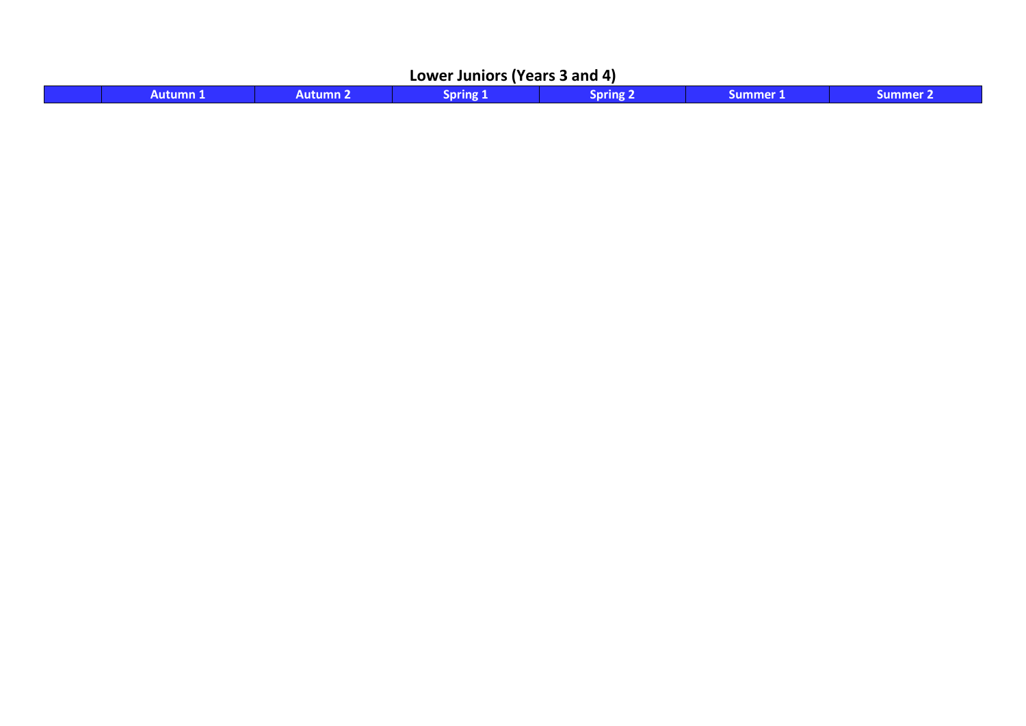| r Juniors (Years 3 and 4)<br>Lower |             |  |  |  |      |  |  |  |
|------------------------------------|-------------|--|--|--|------|--|--|--|
|                                    | tumn.<br>۹П |  |  |  | 80 I |  |  |  |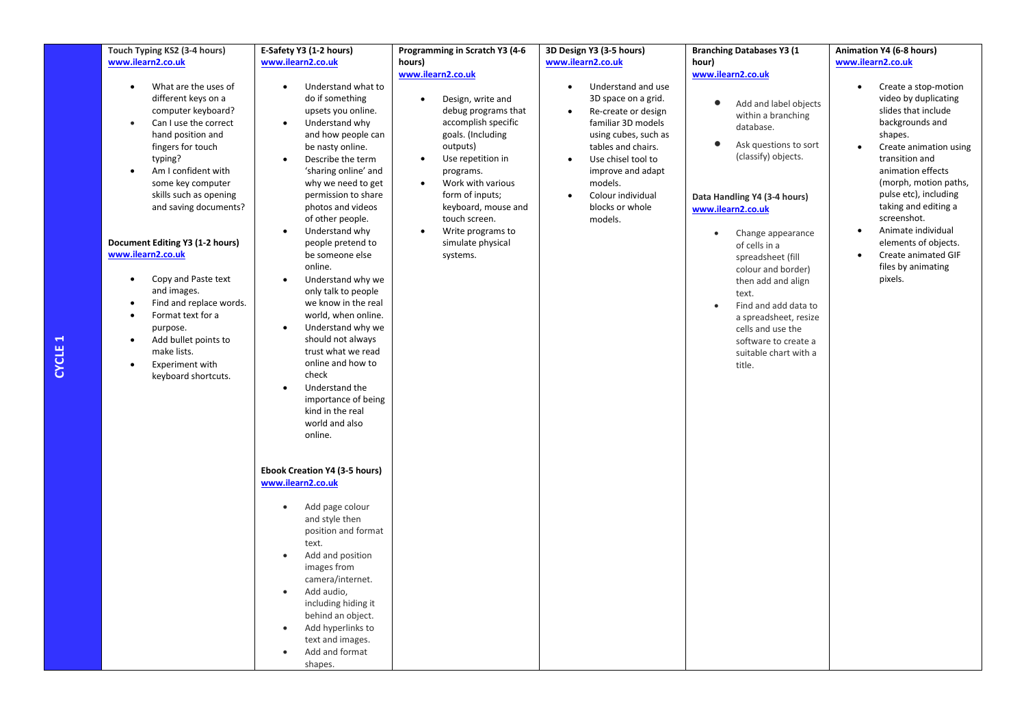| Touch Typing KS2 (3-4 hours)      | E-Safety Y3 (1-2 hours)       | Programming in Scratch Y3 (4-6 | 3D Design Y3 (3-5 hours)         | <b>Branching Databases Y3 (1)</b>  | Animation Y4 (6-8 hours)            |
|-----------------------------------|-------------------------------|--------------------------------|----------------------------------|------------------------------------|-------------------------------------|
|                                   |                               |                                | www.ilearn2.co.uk                |                                    | www.ilearn2.co.uk                   |
| www.ilearn2.co.uk                 | www.ilearn2.co.uk             | hours)<br>www.ilearn2.co.uk    |                                  | hour)<br>www.ilearn2.co.uk         |                                     |
|                                   |                               |                                |                                  |                                    |                                     |
| What are the uses of<br>$\bullet$ | Understand what to            |                                | Understand and use<br>$\bullet$  |                                    | Create a stop-motion<br>$\bullet$   |
| different keys on a               | do if something               | Design, write and<br>$\bullet$ | 3D space on a grid.              | Add and label objects<br>$\bullet$ | video by duplicating                |
| computer keyboard?                | upsets you online.            | debug programs that            | Re-create or design<br>$\bullet$ | within a branching                 | slides that include                 |
| Can I use the correct             | Understand why                | accomplish specific            | familiar 3D models               | database.                          | backgrounds and                     |
| hand position and                 | and how people can            | goals. (Including              | using cubes, such as             |                                    | shapes.                             |
| fingers for touch                 | be nasty online.              | outputs)                       | tables and chairs.               | $\bullet$<br>Ask questions to sort | Create animation using<br>$\bullet$ |
| typing?                           | Describe the term             | Use repetition in<br>$\bullet$ | Use chisel tool to               | (classify) objects.                | transition and                      |
| Am I confident with               | 'sharing online' and          | programs.                      | improve and adapt                |                                    | animation effects                   |
| some key computer                 | why we need to get            | Work with various<br>$\bullet$ | models.                          |                                    | (morph, motion paths,               |
| skills such as opening            | permission to share           | form of inputs;                | Colour individual<br>$\bullet$   | Data Handling Y4 (3-4 hours)       | pulse etc), including               |
| and saving documents?             | photos and videos             | keyboard, mouse and            | blocks or whole                  | www.ilearn2.co.uk                  | taking and editing a                |
|                                   | of other people.              | touch screen.                  | models.                          |                                    | screenshot.                         |
|                                   | Understand why<br>$\bullet$   | Write programs to<br>$\bullet$ |                                  | Change appearance<br>$\bullet$     | Animate individual<br>$\bullet$     |
| Document Editing Y3 (1-2 hours)   | people pretend to             | simulate physical              |                                  | of cells in a                      | elements of objects.                |
| www.ilearn2.co.uk                 | be someone else               | systems.                       |                                  | spreadsheet (fill                  | Create animated GIF                 |
|                                   | online.                       |                                |                                  | colour and border)                 | files by animating                  |
| Copy and Paste text<br>$\bullet$  | Understand why we             |                                |                                  | then add and align                 | pixels.                             |
| and images.                       | only talk to people           |                                |                                  | text.                              |                                     |
| Find and replace words.           | we know in the real           |                                |                                  | Find and add data to<br>$\bullet$  |                                     |
| Format text for a                 | world, when online.           |                                |                                  | a spreadsheet, resize              |                                     |
| purpose.                          | Understand why we             |                                |                                  | cells and use the                  |                                     |
| Add bullet points to<br>$\bullet$ | should not always             |                                |                                  | software to create a               |                                     |
| make lists.                       | trust what we read            |                                |                                  | suitable chart with a              |                                     |
| Experiment with                   | online and how to             |                                |                                  | title.                             |                                     |
| keyboard shortcuts.               | check                         |                                |                                  |                                    |                                     |
|                                   | Understand the                |                                |                                  |                                    |                                     |
|                                   | importance of being           |                                |                                  |                                    |                                     |
|                                   | kind in the real              |                                |                                  |                                    |                                     |
|                                   | world and also                |                                |                                  |                                    |                                     |
|                                   | online.                       |                                |                                  |                                    |                                     |
|                                   |                               |                                |                                  |                                    |                                     |
|                                   |                               |                                |                                  |                                    |                                     |
|                                   | Ebook Creation Y4 (3-5 hours) |                                |                                  |                                    |                                     |
|                                   | www.ilearn2.co.uk             |                                |                                  |                                    |                                     |
|                                   |                               |                                |                                  |                                    |                                     |
|                                   | Add page colour<br>$\bullet$  |                                |                                  |                                    |                                     |
|                                   | and style then                |                                |                                  |                                    |                                     |
|                                   | position and format           |                                |                                  |                                    |                                     |
|                                   | text.                         |                                |                                  |                                    |                                     |
|                                   | Add and position              |                                |                                  |                                    |                                     |
|                                   | images from                   |                                |                                  |                                    |                                     |
|                                   | camera/internet.              |                                |                                  |                                    |                                     |
|                                   | $\bullet$                     |                                |                                  |                                    |                                     |
|                                   | Add audio,                    |                                |                                  |                                    |                                     |
|                                   | including hiding it           |                                |                                  |                                    |                                     |
|                                   | behind an object.             |                                |                                  |                                    |                                     |
|                                   | Add hyperlinks to             |                                |                                  |                                    |                                     |
|                                   | text and images.              |                                |                                  |                                    |                                     |
|                                   | Add and format                |                                |                                  |                                    |                                     |
|                                   | shapes.                       |                                |                                  |                                    |                                     |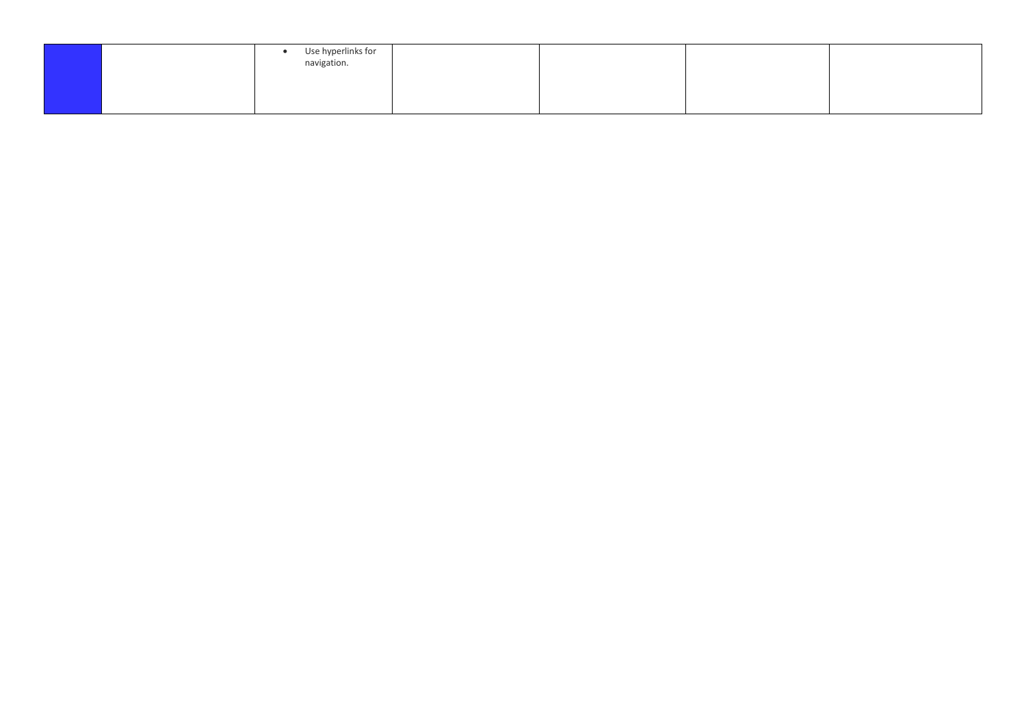| Use hyperlinks for<br>navigation. |  |  |
|-----------------------------------|--|--|
|                                   |  |  |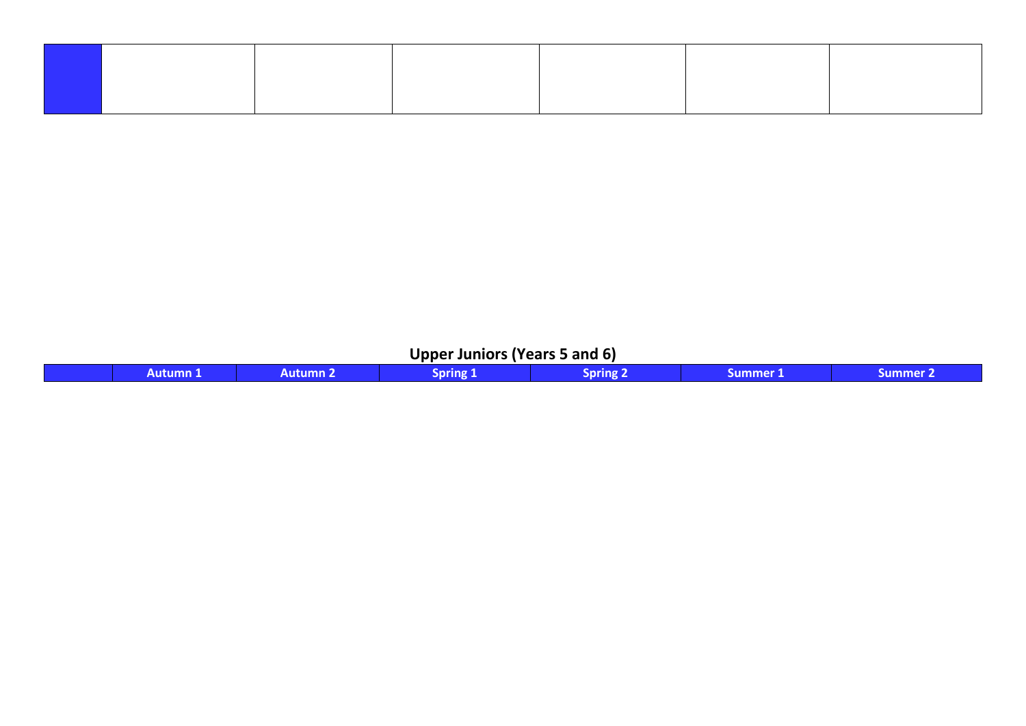## **Upper Juniors (Years 5 and 6)**

|  | Alifilmn | sor<br>rıng v | snr<br>'Inø | summer | ו מהווה |
|--|----------|---------------|-------------|--------|---------|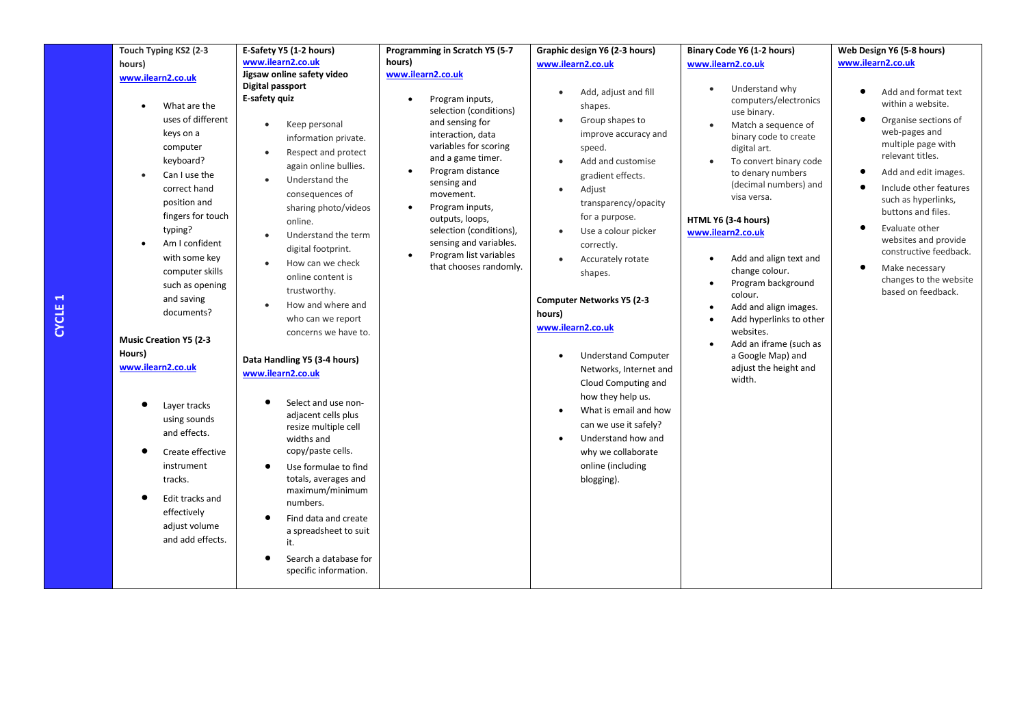| Touch Typing KS2 (2-3                                                                                                                                                                                                                                                                                                                                                                                                                                                                             | E-Safety Y5 (1-2 hours)                                                                                                                                                                                                                                                                                                                                                                                                                                                                                                                                                                                                                                                                                         | Programming in Scratch Y5 (5-7                                                                                                                                                                                                                                                                                                              | Graphic design Y6 (2-3 hours)                                                                                                                                                                                                                                                                                                                                                                                                                                                                                                                                                                       | Binary Code Y6 (1-2 hours)                                                                                                                                                                                                                                                                                                                                                                                                                                                                             | Web Design Y6 (5-8 hours)                                                                                                                                                                                                                                                                                                                                             |
|---------------------------------------------------------------------------------------------------------------------------------------------------------------------------------------------------------------------------------------------------------------------------------------------------------------------------------------------------------------------------------------------------------------------------------------------------------------------------------------------------|-----------------------------------------------------------------------------------------------------------------------------------------------------------------------------------------------------------------------------------------------------------------------------------------------------------------------------------------------------------------------------------------------------------------------------------------------------------------------------------------------------------------------------------------------------------------------------------------------------------------------------------------------------------------------------------------------------------------|---------------------------------------------------------------------------------------------------------------------------------------------------------------------------------------------------------------------------------------------------------------------------------------------------------------------------------------------|-----------------------------------------------------------------------------------------------------------------------------------------------------------------------------------------------------------------------------------------------------------------------------------------------------------------------------------------------------------------------------------------------------------------------------------------------------------------------------------------------------------------------------------------------------------------------------------------------------|--------------------------------------------------------------------------------------------------------------------------------------------------------------------------------------------------------------------------------------------------------------------------------------------------------------------------------------------------------------------------------------------------------------------------------------------------------------------------------------------------------|-----------------------------------------------------------------------------------------------------------------------------------------------------------------------------------------------------------------------------------------------------------------------------------------------------------------------------------------------------------------------|
| hours)                                                                                                                                                                                                                                                                                                                                                                                                                                                                                            | www.ilearn2.co.uk                                                                                                                                                                                                                                                                                                                                                                                                                                                                                                                                                                                                                                                                                               | hours)                                                                                                                                                                                                                                                                                                                                      | www.ilearn2.co.uk                                                                                                                                                                                                                                                                                                                                                                                                                                                                                                                                                                                   | www.ilearn2.co.uk                                                                                                                                                                                                                                                                                                                                                                                                                                                                                      | www.ilearn2.co.uk                                                                                                                                                                                                                                                                                                                                                     |
| www.ilearn2.co.uk                                                                                                                                                                                                                                                                                                                                                                                                                                                                                 | Jigsaw online safety video                                                                                                                                                                                                                                                                                                                                                                                                                                                                                                                                                                                                                                                                                      | www.ilearn2.co.uk                                                                                                                                                                                                                                                                                                                           |                                                                                                                                                                                                                                                                                                                                                                                                                                                                                                                                                                                                     |                                                                                                                                                                                                                                                                                                                                                                                                                                                                                                        |                                                                                                                                                                                                                                                                                                                                                                       |
| What are the<br>uses of different<br>keys on a<br>computer<br>keyboard?<br>Can I use the<br>correct hand<br>position and<br>fingers for touch<br>typing?<br>Am I confident<br>with some key<br>computer skills<br>such as opening<br>and saving<br>documents?<br><b>Music Creation Y5 (2-3</b><br>Hours)<br>www.ilearn2.co.uk<br>Layer tracks<br>using sounds<br>and effects.<br>Create effective<br>instrument<br>tracks.<br>Edit tracks and<br>effectively<br>adjust volume<br>and add effects. | Digital passport<br>E-safety quiz<br>Keep personal<br>$\bullet$<br>information private.<br>Respect and protect<br>$\bullet$<br>again online bullies.<br>Understand the<br>consequences of<br>sharing photo/videos<br>online.<br>Understand the term<br>digital footprint.<br>How can we check<br>online content is<br>trustworthy.<br>How and where and<br>$\bullet$<br>who can we report<br>concerns we have to.<br>Data Handling Y5 (3-4 hours)<br>www.ilearn2.co.uk<br>Select and use non-<br>adjacent cells plus<br>resize multiple cell<br>widths and<br>copy/paste cells.<br>Use formulae to find<br>totals, averages and<br>maximum/minimum<br>numbers.<br>Find data and create<br>a spreadsheet to suit | Program inputs,<br>selection (conditions)<br>and sensing for<br>interaction, data<br>variables for scoring<br>and a game timer.<br>Program distance<br>sensing and<br>movement.<br>Program inputs,<br>$\bullet$<br>outputs, loops,<br>selection (conditions),<br>sensing and variables.<br>Program list variables<br>that chooses randomly. | Add, adjust and fill<br>٠<br>shapes.<br>Group shapes to<br>improve accuracy and<br>speed.<br>Add and customise<br>gradient effects.<br>Adjust<br>$\bullet$<br>transparency/opacity<br>for a purpose.<br>Use a colour picker<br>correctly.<br>Accurately rotate<br>shapes.<br><b>Computer Networks Y5 (2-3</b><br>hours)<br>www.ilearn2.co.uk<br><b>Understand Computer</b><br>$\bullet$<br>Networks, Internet and<br>Cloud Computing and<br>how they help us.<br>What is email and how<br>can we use it safely?<br>Understand how and<br>٠<br>why we collaborate<br>online (including<br>blogging). | Understand why<br>computers/electronics<br>use binary.<br>Match a sequence of<br>binary code to create<br>digital art.<br>To convert binary code<br>to denary numbers<br>(decimal numbers) and<br>visa versa.<br>HTML Y6 (3-4 hours)<br>www.ilearn2.co.uk<br>Add and align text and<br>change colour.<br>Program background<br>$\bullet$<br>colour.<br>Add and align images.<br>Add hyperlinks to other<br>websites.<br>Add an iframe (such as<br>a Google Map) and<br>adjust the height and<br>width. | Add and format text<br>within a website.<br>Organise sections of<br>٠<br>web-pages and<br>multiple page with<br>relevant titles.<br>Add and edit images.<br>Include other features<br>such as hyperlinks,<br>buttons and files.<br>Evaluate other<br>websites and provide<br>constructive feedback.<br>Make necessary<br>changes to the website<br>based on feedback. |